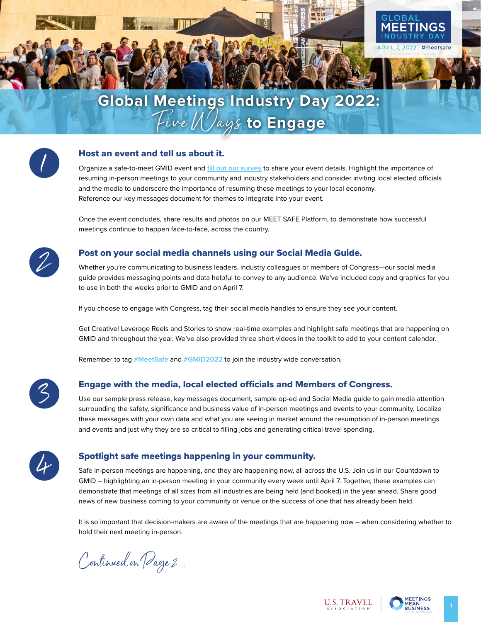



### Host an event and tell us about it.

Organize a safe-to-meet GMID event and **[fill out our survey](https://survey.alchemer.com/s3/6728271/2022-GMID-NTTW-Event-Survey)** to share your event details. Highlight the importance of resuming in-person meetings to your community and industry stakeholders and consider inviting local elected officials and the media to underscore the importance of resuming these meetings to your local economy. Reference our key messages document for themes to integrate into your event.

Once the event concludes, share results and photos on our MEET SAFE Platform, to demonstrate how successful meetings continue to happen face-to-face, across the country.



### Post on your social media channels using our Social Media Guide.

Whether you're communicating to business leaders, industry colleagues or members of Congress—our social media guide provides messaging points and data helpful to convey to any audience. We've included copy and graphics for you to use in both the weeks prior to GMID and on April 7.

If you choose to engage with Congress, tag their social media handles to ensure they see your content.

Get Creative! Leverage Reels and Stories to show real-time examples and highlight safe meetings that are happening on GMID and throughout the year. We've also provided three short videos in the toolkit to add to your content calendar.

Remember to tag **#MeetSafe** and **#GMID2022** to join the industry wide conversation.

3

#### Engage with the media, local elected officials and Members of Congress.

Use our sample press release, key messages document, sample op-ed and Social Media guide to gain media attention surrounding the safety, significance and business value of in-person meetings and events to your community. Localize these messages with your own data and what you are seeing in market around the resumption of in-person meetings and events and just why they are so critical to filling jobs and generating critical travel spending.



### Spotlight safe meetings happening in your community.

Safe in-person meetings are happening, and they are happening now, all across the U.S. Join us in our Countdown to GMID – highlighting an in-person meeting in your community every week until April 7. Together, these examples can demonstrate that meetings of all sizes from all industries are being held (and booked) in the year ahead. Share good news of new business coming to your community or venue or the success of one that has already been held.

It is so important that decision-makers are aware of the meetings that are happening now – when considering whether to hold their next meeting in-person.

Continued on Page 2...